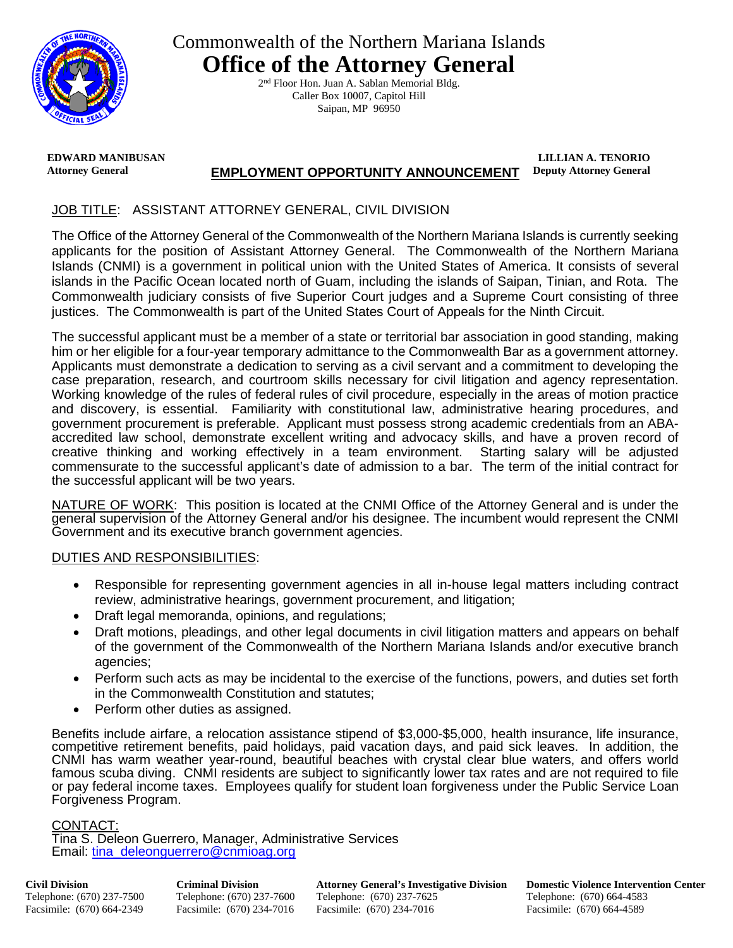

Commonwealth of the Northern Mariana Islands **Office of the Attorney General**

> 2<sup>nd</sup> Floor Hon. Juan A. Sablan Memorial Bldg. Caller Box 10007, Capitol Hill Saipan, MP 96950

**EDWARD MANIBUSAN LILLIAN A. TENORIO**

## **Attorney General EMPLOYMENT OPPORTUNITY ANNOUNCEMENT Deputy Attorney General**

## JOB TITLE: ASSISTANT ATTORNEY GENERAL, CIVIL DIVISION

The Office of the Attorney General of the Commonwealth of the Northern Mariana Islands is currently seeking applicants for the position of Assistant Attorney General. The Commonwealth of the Northern Mariana Islands (CNMI) is a government in political union with the United States of America. It consists of several islands in the Pacific Ocean located north of Guam, including the islands of Saipan, Tinian, and Rota. The Commonwealth judiciary consists of five Superior Court judges and a Supreme Court consisting of three justices. The Commonwealth is part of the United States Court of Appeals for the Ninth Circuit.

The successful applicant must be a member of a state or territorial bar association in good standing, making him or her eligible for a four-year temporary admittance to the Commonwealth Bar as a government attorney. Applicants must demonstrate a dedication to serving as a civil servant and a commitment to developing the case preparation, research, and courtroom skills necessary for civil litigation and agency representation. Working knowledge of the rules of federal rules of civil procedure, especially in the areas of motion practice and discovery, is essential. Familiarity with constitutional law, administrative hearing procedures, and government procurement is preferable. Applicant must possess strong academic credentials from an ABAaccredited law school, demonstrate excellent writing and advocacy skills, and have a proven record of creative thinking and working effectively in a team environment. Starting salary will be adjusted commensurate to the successful applicant's date of admission to a bar. The term of the initial contract for the successful applicant will be two years.

NATURE OF WORK: This position is located at the CNMI Office of the Attorney General and is under the general supervision of the Attorney General and/or his designee. The incumbent would represent the CNMI Government and its executive branch government agencies.

## DUTIES AND RESPONSIBILITIES:

- Responsible for representing government agencies in all in-house legal matters including contract review, administrative hearings, government procurement, and litigation;
- Draft legal memoranda, opinions, and regulations;
- Draft motions, pleadings, and other legal documents in civil litigation matters and appears on behalf of the government of the Commonwealth of the Northern Mariana Islands and/or executive branch agencies;
- Perform such acts as may be incidental to the exercise of the functions, powers, and duties set forth in the Commonwealth Constitution and statutes;
- Perform other duties as assigned.

Benefits include airfare, a relocation assistance stipend of \$3,000-\$5,000, health insurance, life insurance, competitive retirement benefits, paid holidays, paid vacation days, and paid sick leaves. In addition, the CNMI has warm weather year-round, beautiful beaches with crystal clear blue waters, and offers world famous scuba diving. CNMI residents are subject to significantly lower tax rates and are not required to file or pay federal income taxes. Employees qualify for student loan forgiveness under the Public Service Loan Forgiveness Program.

## CONTACT:

Tina S. Deleon Guerrero, Manager, Administrative Services Email: [tina\\_deleonguerrero@cnmioag.org](mailto:tina_deleonguerrero@cnmioag.org)

| <b>Civil Division</b>     | <b>Criminal Division</b>  | <b>Attorney General's Investigative Division</b> | <b>Domestic Violence Intervention Center</b> |
|---------------------------|---------------------------|--------------------------------------------------|----------------------------------------------|
| Telephone: (670) 237-7500 | Telephone: (670) 237-7600 | Telephone: (670) 237-7625                        | Telephone: (670) 664-4583                    |
| Facsimile: (670) 664-2349 | Facsimile: (670) 234-7016 | Facsimile: (670) 234-7016                        | Facsimile: (670) 664-4589                    |